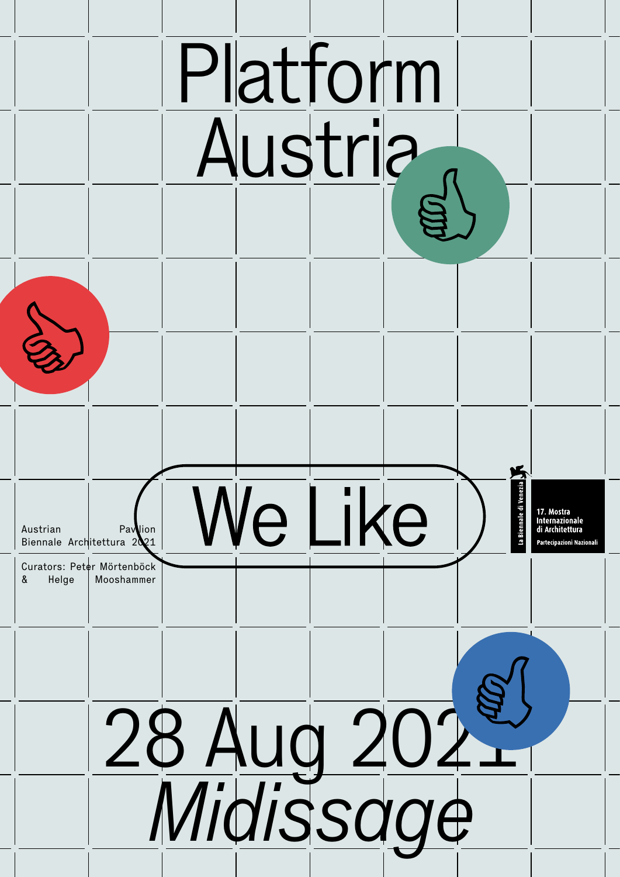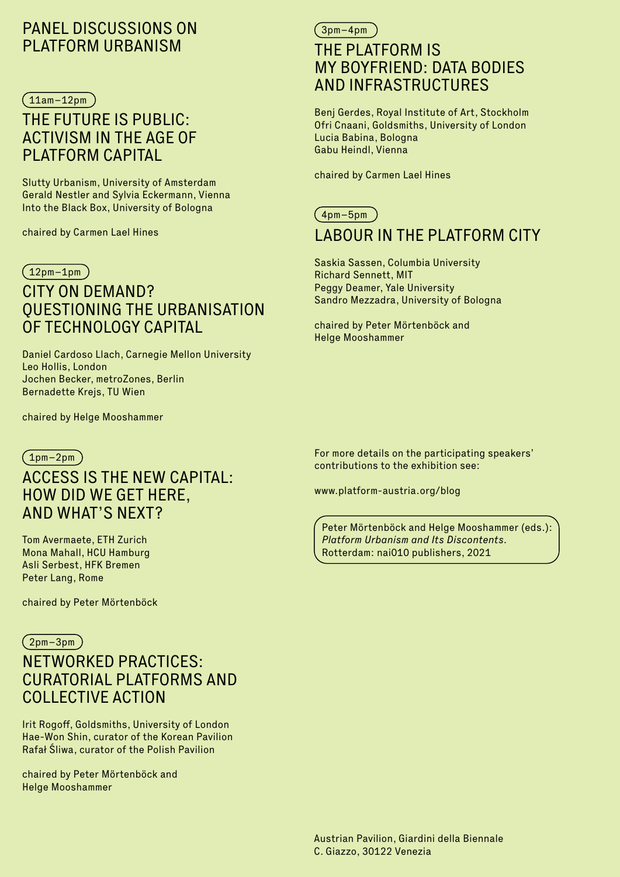# PANEL DISCUSSIONS ON PLATFORM URBANISM

### $(11am-12pm)$

# THE FUTURE IS PUBLIC: ACTIVISM IN THE AGE OF PLATFORM CAPITAL

Slutty Urbanism, University of Amsterdam Gerald Nestler and Sylvia Eckermann, Vienna Into the Black Box, University of Bologna

chaired by Carmen Lael Hines

### $(12pm-1pm)$

# CITY ON DEMAND? QUESTIONING THE URBANISATION OF TECHNOLOGY CAPITAL

Daniel Cardoso Llach, Carnegie Mellon University Leo Hollis, London Jochen Becker, metroZones, Berlin Bernadette Krejs, TU Wien

chaired by Helge Mooshammer

### $(1pm-2pm)$

# ACCESS IS THE NEW CAPITAL: HOW DID WE GET HERE, AND WHAT'S NEXT?

Tom Avermaete, ETH Zurich Mona Mahall, HCU Hamburg Asli Serbest, HFK Bremen Peter Lang, Rome

chaired by Peter Mörtenböck

### 2pm–3pm

# NETWORKED PRACTICES: CURATORIAL PLATFORMS AND COLLECTIVE ACTION

Irit Rogoff, Goldsmiths, University of London Hae-Won Shin, curator of the Korean Pavilion Rafał Śliwa, curator of the Polish Pavilion

chaired by Peter Mörtenböck and Helge Mooshammer

# 3pm–4pm THE PLATEORM IS MY BOYFRIEND: DATA BODIES AND INFRASTRUCTURES

Benj Gerdes, Royal Institute of Art, Stockholm Ofri Cnaani, Goldsmiths, University of London Lucia Babina, Bologna Gabu Heindl, Vienna

chaired by Carmen Lael Hines

### $(4$ pm–5pm $)$

# LABOUR IN THE PLATFORM CITY

Saskia Sassen, Columbia University Richard Sennett, MIT Peggy Deamer, Yale University Sandro Mezzadra, University of Bologna

chaired by Peter Mörtenböck and Helge Mooshammer

For more details on the participating speakers' contributions to the exhibition see:

www.platform-austria.org/blog

Peter Mörtenböck and Helge Mooshammer (eds.): *Platform Urbanism and Its Discontents.*  Rotterdam: nai010 publishers, 2021